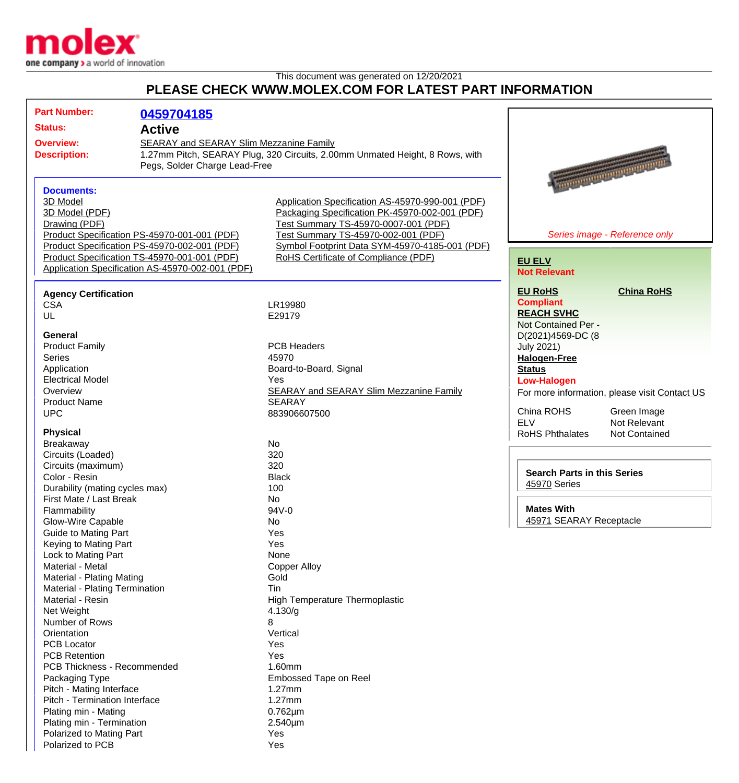

This document was generated on 12/20/2021

## **PLEASE CHECK WWW.MOLEX.COM FOR LATEST PART INFORMATION**

| <b>Part Number:</b>                              | 0459704185                                   |                                                                                                    |                                                |
|--------------------------------------------------|----------------------------------------------|----------------------------------------------------------------------------------------------------|------------------------------------------------|
| <b>Status:</b><br><b>Active</b>                  |                                              |                                                                                                    |                                                |
| SEARAY and SEARAY Slim Mezzanine Family          |                                              |                                                                                                    |                                                |
| <b>Overview:</b><br><b>Description:</b>          |                                              | 1.27mm Pitch, SEARAY Plug, 320 Circuits, 2.00mm Unmated Height, 8 Rows, with                       |                                                |
|                                                  | Pegs, Solder Charge Lead-Free                |                                                                                                    |                                                |
|                                                  |                                              |                                                                                                    |                                                |
|                                                  |                                              |                                                                                                    | <b>Representation of the American Street</b>   |
| <b>Documents:</b>                                |                                              |                                                                                                    |                                                |
| 3D Model<br>3D Model (PDF)                       |                                              | Application Specification AS-45970-990-001 (PDF)<br>Packaging Specification PK-45970-002-001 (PDF) |                                                |
| Drawing (PDF)                                    |                                              | Test Summary TS-45970-0007-001 (PDF)                                                               |                                                |
|                                                  | Product Specification PS-45970-001-001 (PDF) | Test Summary TS-45970-002-001 (PDF)                                                                | Series image - Reference only                  |
|                                                  | Product Specification PS-45970-002-001 (PDF) | Symbol Footprint Data SYM-45970-4185-001 (PDF)                                                     |                                                |
|                                                  | Product Specification TS-45970-001-001 (PDF) | RoHS Certificate of Compliance (PDF)                                                               |                                                |
| Application Specification AS-45970-002-001 (PDF) |                                              |                                                                                                    | <b>EU ELV</b>                                  |
|                                                  |                                              |                                                                                                    | <b>Not Relevant</b>                            |
| <b>Agency Certification</b>                      |                                              |                                                                                                    | <b>China RoHS</b><br><b>EU RoHS</b>            |
| <b>CSA</b>                                       |                                              | LR19980                                                                                            | <b>Compliant</b>                               |
| UL                                               |                                              | E29179                                                                                             | <b>REACH SVHC</b>                              |
|                                                  |                                              |                                                                                                    | Not Contained Per -                            |
| <b>General</b>                                   |                                              |                                                                                                    | D(2021)4569-DC (8                              |
| <b>Product Family</b>                            |                                              | <b>PCB Headers</b>                                                                                 | <b>July 2021)</b>                              |
| <b>Series</b>                                    |                                              | 45970                                                                                              | <b>Halogen-Free</b>                            |
| Application                                      |                                              | Board-to-Board, Signal                                                                             | <b>Status</b>                                  |
| <b>Electrical Model</b>                          |                                              | Yes                                                                                                | <b>Low-Halogen</b>                             |
| Overview                                         |                                              | <b>SEARAY and SEARAY Slim Mezzanine Family</b>                                                     | For more information, please visit Contact US  |
| <b>Product Name</b>                              |                                              | <b>SEARAY</b>                                                                                      |                                                |
| <b>UPC</b>                                       |                                              | 883906607500                                                                                       | China ROHS<br>Green Image                      |
|                                                  |                                              |                                                                                                    | <b>ELV</b><br>Not Relevant                     |
| <b>Physical</b>                                  |                                              |                                                                                                    | <b>RoHS Phthalates</b><br><b>Not Contained</b> |
| Breakaway                                        |                                              | No<br>320                                                                                          |                                                |
| Circuits (Loaded)                                |                                              | 320                                                                                                |                                                |
| Circuits (maximum)                               |                                              | <b>Black</b>                                                                                       | <b>Search Parts in this Series</b>             |
| Color - Resin<br>Durability (mating cycles max)  |                                              | 100                                                                                                | 45970 Series                                   |
| First Mate / Last Break                          |                                              | No                                                                                                 |                                                |
| Flammability                                     |                                              | 94V-0                                                                                              | <b>Mates With</b>                              |
| Glow-Wire Capable                                |                                              | No                                                                                                 | 45971 SEARAY Receptacle                        |
| Guide to Mating Part                             |                                              | Yes                                                                                                |                                                |
| Keying to Mating Part                            |                                              | Yes                                                                                                |                                                |
| Lock to Mating Part                              |                                              | None                                                                                               |                                                |
| Material - Metal                                 |                                              | <b>Copper Alloy</b>                                                                                |                                                |
| Material - Plating Mating                        |                                              | Gold                                                                                               |                                                |
| Material - Plating Termination                   |                                              | Tin                                                                                                |                                                |
| Material - Resin                                 |                                              | High Temperature Thermoplastic                                                                     |                                                |
| Net Weight                                       |                                              | 4.130/g                                                                                            |                                                |
| Number of Rows                                   |                                              | 8                                                                                                  |                                                |
| Orientation                                      |                                              | Vertical                                                                                           |                                                |
| PCB Locator                                      |                                              | Yes                                                                                                |                                                |
| <b>PCB Retention</b>                             |                                              | Yes                                                                                                |                                                |
| PCB Thickness - Recommended                      |                                              | 1.60mm                                                                                             |                                                |
| Packaging Type                                   |                                              | Embossed Tape on Reel                                                                              |                                                |
| Pitch - Mating Interface                         |                                              | 1.27mm                                                                                             |                                                |
| Pitch - Termination Interface                    |                                              | 1.27mm                                                                                             |                                                |
| Plating min - Mating                             |                                              | $0.762 \mu m$                                                                                      |                                                |
| Plating min - Termination                        |                                              | 2.540µm                                                                                            |                                                |
| Polarized to Mating Part                         |                                              | Yes                                                                                                |                                                |
| Polarized to PCB                                 |                                              | Yes                                                                                                |                                                |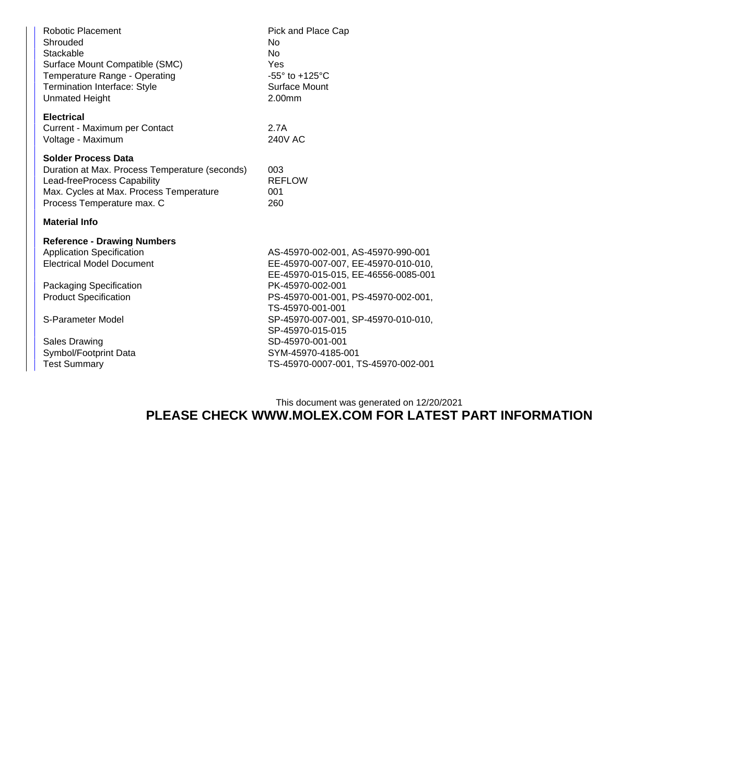| Robotic Placement<br>Shrouded<br>Stackable<br>Surface Mount Compatible (SMC)<br>Temperature Range - Operating<br><b>Termination Interface: Style</b><br><b>Unmated Height</b>        | Pick and Place Cap<br>No<br><b>No</b><br>Yes<br>$-55^\circ$ to $+125^\circ$ C<br>Surface Mount<br>2.00mm                                                                                        |  |  |  |
|--------------------------------------------------------------------------------------------------------------------------------------------------------------------------------------|-------------------------------------------------------------------------------------------------------------------------------------------------------------------------------------------------|--|--|--|
| <b>Electrical</b><br>Current - Maximum per Contact<br>Voltage - Maximum                                                                                                              | 2.7A<br>240V AC                                                                                                                                                                                 |  |  |  |
| <b>Solder Process Data</b><br>Duration at Max. Process Temperature (seconds)<br>Lead-freeProcess Capability<br>Max. Cycles at Max. Process Temperature<br>Process Temperature max. C | 003<br><b>REFLOW</b><br>001<br>260                                                                                                                                                              |  |  |  |
| <b>Material Info</b>                                                                                                                                                                 |                                                                                                                                                                                                 |  |  |  |
| <b>Reference - Drawing Numbers</b><br><b>Application Specification</b><br><b>Electrical Model Document</b><br>Packaging Specification<br><b>Product Specification</b>                | AS-45970-002-001, AS-45970-990-001<br>EE-45970-007-007, EE-45970-010-010,<br>EE-45970-015-015, EE-46556-0085-001<br>PK-45970-002-001<br>PS-45970-001-001, PS-45970-002-001,<br>TS-45970-001-001 |  |  |  |
| S-Parameter Model                                                                                                                                                                    | SP-45970-007-001, SP-45970-010-010,<br>SP-45970-015-015                                                                                                                                         |  |  |  |
| <b>Sales Drawing</b>                                                                                                                                                                 | SD-45970-001-001                                                                                                                                                                                |  |  |  |
| Symbol/Footprint Data                                                                                                                                                                | SYM-45970-4185-001                                                                                                                                                                              |  |  |  |
| <b>Test Summary</b>                                                                                                                                                                  | TS-45970-0007-001, TS-45970-002-001                                                                                                                                                             |  |  |  |
|                                                                                                                                                                                      |                                                                                                                                                                                                 |  |  |  |

## This document was generated on 12/20/2021 **PLEASE CHECK WWW.MOLEX.COM FOR LATEST PART INFORMATION**